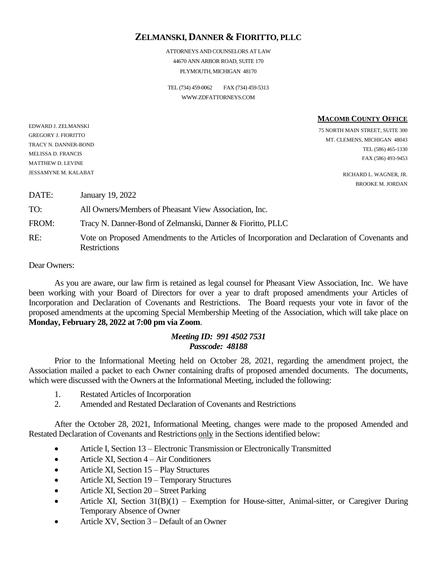# **ZELMANSKI, DANNER & FIORITTO, PLLC**

ATTORNEYS AND COUNSELORS AT LAW 44670 ANN ARBOR ROAD, SUITE 170 PLYMOUTH, MICHIGAN 48170

TEL (734) 459-0062 FAX (734) 459-5313 WWW.ZDFATTORNEYS.COM

**MACOMB COUNTY OFFICE**

75 NORTH MAIN STREET, SUITE 300 MT. CLEMENS, MICHIGAN 48043 TEL (586) 465-1330 FAX (586) 493-9453

> RICHARD L. WAGNER, JR. BROOKE M. JORDAN

DATE: January 19, 2022 TO: All Owners/Members of Pheasant View Association, Inc. FROM: Tracy N. Danner-Bond of Zelmanski, Danner & Fioritto, PLLC RE: Vote on Proposed Amendments to the Articles of Incorporation and Declaration of Covenants and **Restrictions** 

Dear Owners:

EDWARD J. ZELMANSKI GREGORY J. FIORITTO TRACY N. DANNER-BOND MELISSA D. FRANCIS MATTHEW D. LEVINE JESSAMYNE M. KALABAT

As you are aware, our law firm is retained as legal counsel for Pheasant View Association, Inc. We have been working with your Board of Directors for over a year to draft proposed amendments your Articles of Incorporation and Declaration of Covenants and Restrictions. The Board requests your vote in favor of the proposed amendments at the upcoming Special Membership Meeting of the Association, which will take place on **Monday, February 28, 2022 at 7:00 pm via Zoom**.

# *Meeting ID: 991 4502 7531 Passcode: 48188*

Prior to the Informational Meeting held on October 28, 2021, regarding the amendment project, the Association mailed a packet to each Owner containing drafts of proposed amended documents. The documents, which were discussed with the Owners at the Informational Meeting, included the following:

- 1. Restated Articles of Incorporation
- 2. Amended and Restated Declaration of Covenants and Restrictions

After the October 28, 2021, Informational Meeting, changes were made to the proposed Amended and Restated Declaration of Covenants and Restrictions only in the Sections identified below:

- Article I, Section 13 Electronic Transmission or Electronically Transmitted
- Article XI, Section 4 Air Conditioners
- Article XI, Section 15 Play Structures
- Article XI, Section 19 Temporary Structures
- Article XI, Section 20 Street Parking
- Article XI, Section  $31(B)(1)$  Exemption for House-sitter, Animal-sitter, or Caregiver During Temporary Absence of Owner
- Article XV, Section 3 Default of an Owner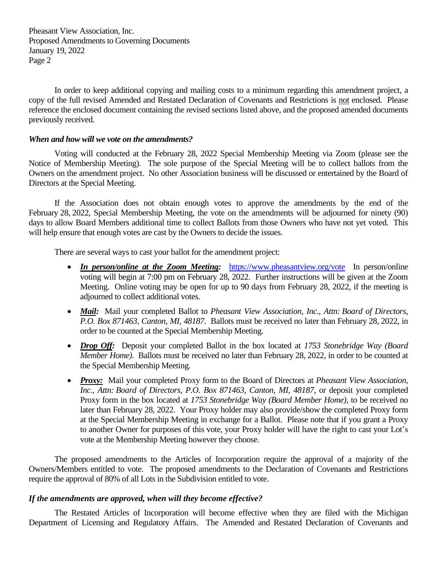Pheasant View Association, Inc. Proposed Amendments to Governing Documents January 19, 2022 Page 2

In order to keep additional copying and mailing costs to a minimum regarding this amendment project, a copy of the full revised Amended and Restated Declaration of Covenants and Restrictions is not enclosed. Please reference the enclosed document containing the revised sections listed above, and the proposed amended documents previously received.

#### *When and how will we vote on the amendments?*

Voting will conducted at the February 28, 2022 Special Membership Meeting via Zoom (please see the Notice of Membership Meeting). The sole purpose of the Special Meeting will be to collect ballots from the Owners on the amendment project. No other Association business will be discussed or entertained by the Board of Directors at the Special Meeting.

If the Association does not obtain enough votes to approve the amendments by the end of the February 28, 2022, Special Membership Meeting, the vote on the amendments will be adjourned for ninety (90) days to allow Board Members additional time to collect Ballots from those Owners who have not yet voted. This will help ensure that enough votes are cast by the Owners to decide the issues.

There are several ways to cast your ballot for the amendment project:

- *In person/online at the Zoom Meeting:* <https://www.pheasantview.org/vote>In person/online voting will begin at 7:00 pm on February 28, 2022. Further instructions will be given at the Zoom Meeting. Online voting may be open for up to 90 days from February 28, 2022, if the meeting is adjourned to collect additional votes.
- *Mail:* Mail your completed Ballot to *Pheasant View Association, Inc., Attn: Board of Directors, P.O. Box 871463, Canton, MI, 48187*. Ballots must be received no later than February 28, 2022, in order to be counted at the Special Membership Meeting.
- *Drop Off:* Deposit your completed Ballot in the box located at *1753 Stonebridge Way (Board Member Home)*. Ballots must be received no later than February 28, 2022, in order to be counted at the Special Membership Meeting.
- *Proxy:* Mail your completed Proxy form to the Board of Directors at *Pheasant View Association, Inc., Attn: Board of Directors, P.O. Box 871463, Canton, MI, 48187*, or deposit your completed Proxy form in the box located at *1753 Stonebridge Way (Board Member Home)*, to be received no later than February 28, 2022. Your Proxy holder may also provide/show the completed Proxy form at the Special Membership Meeting in exchange for a Ballot.Please note that if you grant a Proxy to another Owner for purposes of this vote, your Proxy holder will have the right to cast your Lot's vote at the Membership Meeting however they choose.

The proposed amendments to the Articles of Incorporation require the approval of a majority of the Owners/Members entitled to vote. The proposed amendments to the Declaration of Covenants and Restrictions require the approval of 80% of all Lots in the Subdivision entitled to vote.

## *If the amendments are approved, when will they become effective?*

The Restated Articles of Incorporation will become effective when they are filed with the Michigan Department of Licensing and Regulatory Affairs. The Amended and Restated Declaration of Covenants and